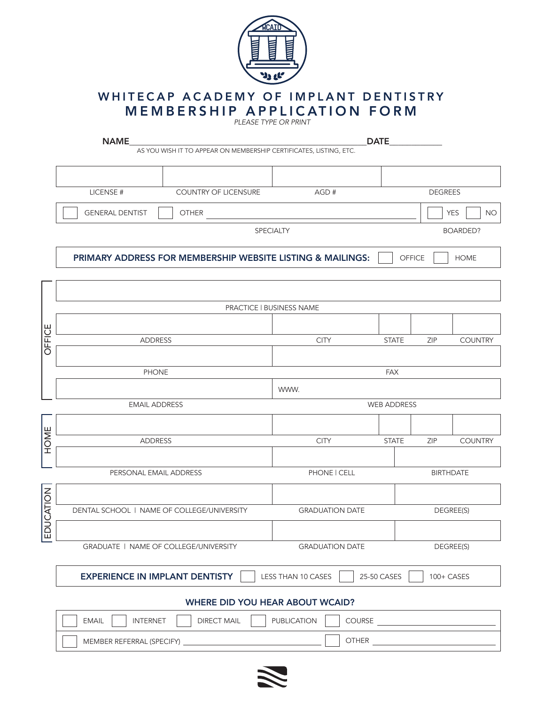

## **MEMBERSHIP APPLICATION FORM** WHITECAP ACADEMY OF IMPLANT DENTISTRY

| <b>DATE</b><br><b>NAME</b><br>AS YOU WISH IT TO APPEAR ON MEMBERSHIP CERTIFICATES, LISTING, ETC. |                                                                                          |                        |              |                         |                 |  |  |
|--------------------------------------------------------------------------------------------------|------------------------------------------------------------------------------------------|------------------------|--------------|-------------------------|-----------------|--|--|
|                                                                                                  |                                                                                          |                        |              |                         |                 |  |  |
|                                                                                                  | COUNTRY OF LICENSURE<br>LICENSE #                                                        | AGD#                   |              | <b>DEGREES</b>          |                 |  |  |
|                                                                                                  | <b>GENERAL DENTIST</b><br><b>OTHER</b>                                                   |                        |              | <b>YES</b><br><b>NO</b> |                 |  |  |
|                                                                                                  | SPECIALTY                                                                                |                        |              |                         | <b>BOARDED?</b> |  |  |
|                                                                                                  | PRIMARY ADDRESS FOR MEMBERSHIP WEBSITE LISTING & MAILINGS:<br>OFFICE<br><b>HOME</b>      |                        |              |                         |                 |  |  |
|                                                                                                  |                                                                                          |                        |              |                         |                 |  |  |
|                                                                                                  | PRACTICE   BUSINESS NAME                                                                 |                        |              |                         |                 |  |  |
|                                                                                                  |                                                                                          |                        |              |                         |                 |  |  |
| OFFICE                                                                                           | <b>ADDRESS</b>                                                                           | <b>CITY</b>            | <b>STATE</b> | ZIP                     | <b>COUNTRY</b>  |  |  |
|                                                                                                  |                                                                                          |                        |              |                         |                 |  |  |
|                                                                                                  | <b>PHONE</b>                                                                             | <b>FAX</b>             |              |                         |                 |  |  |
|                                                                                                  |                                                                                          | WWW.                   |              |                         |                 |  |  |
|                                                                                                  | <b>EMAIL ADDRESS</b>                                                                     | <b>WEB ADDRESS</b>     |              |                         |                 |  |  |
|                                                                                                  |                                                                                          |                        |              |                         |                 |  |  |
| <b>HOME</b>                                                                                      | <b>ADDRESS</b>                                                                           | <b>CITY</b>            | <b>STATE</b> | <b>ZIP</b>              | <b>COUNTRY</b>  |  |  |
|                                                                                                  |                                                                                          |                        |              |                         |                 |  |  |
|                                                                                                  | PERSONAL EMAIL ADDRESS                                                                   | PHONE   CELL           |              | <b>BIRTHDATE</b>        |                 |  |  |
|                                                                                                  |                                                                                          |                        |              |                         |                 |  |  |
|                                                                                                  | DENTAL SCHOOL   NAME OF COLLEGE/UNIVERSITY                                               | <b>GRADUATION DATE</b> |              |                         | DEGREE(S)       |  |  |
| EDUCATION                                                                                        |                                                                                          |                        |              |                         |                 |  |  |
|                                                                                                  | GRADUATE   NAME OF COLLEGE/UNIVERSITY                                                    | <b>GRADUATION DATE</b> |              | DEGREE(S)               |                 |  |  |
|                                                                                                  |                                                                                          |                        |              |                         |                 |  |  |
|                                                                                                  | <b>EXPERIENCE IN IMPLANT DENTISTY</b><br>25-50 CASES<br>LESS THAN 10 CASES<br>100+ CASES |                        |              |                         |                 |  |  |
|                                                                                                  | <b>WHERE DID YOU HEAR ABOUT WCAID?</b>                                                   |                        |              |                         |                 |  |  |
|                                                                                                  | COURSE<br><b>EMAIL</b><br><b>INTERNET</b><br><b>DIRECT MAIL</b><br><b>PUBLICATION</b>    |                        |              |                         |                 |  |  |



OTHER

MEMBER REFERRAL (SPECIFY)